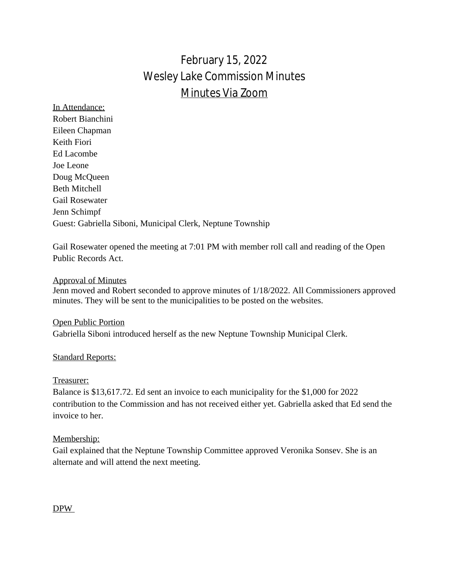# February 15, 2022 Wesley Lake Commission Minutes Minutes Via Zoom

In Attendance: Robert Bianchini Eileen Chapman Keith Fiori Ed Lacombe Joe Leone Doug McQueen Beth Mitchell Gail Rosewater Jenn Schimpf Guest: Gabriella Siboni, Municipal Clerk, Neptune Township

Gail Rosewater opened the meeting at 7:01 PM with member roll call and reading of the Open Public Records Act.

# Approval of Minutes

Jenn moved and Robert seconded to approve minutes of 1/18/2022. All Commissioners approved minutes. They will be sent to the municipalities to be posted on the websites.

Open Public Portion Gabriella Siboni introduced herself as the new Neptune Township Municipal Clerk.

### **Standard Reports:**

### Treasurer:

Balance is \$13,617.72. Ed sent an invoice to each municipality for the \$1,000 for 2022 contribution to the Commission and has not received either yet. Gabriella asked that Ed send the invoice to her.

### Membership:

Gail explained that the Neptune Township Committee approved Veronika Sonsev. She is an alternate and will attend the next meeting.

### DPW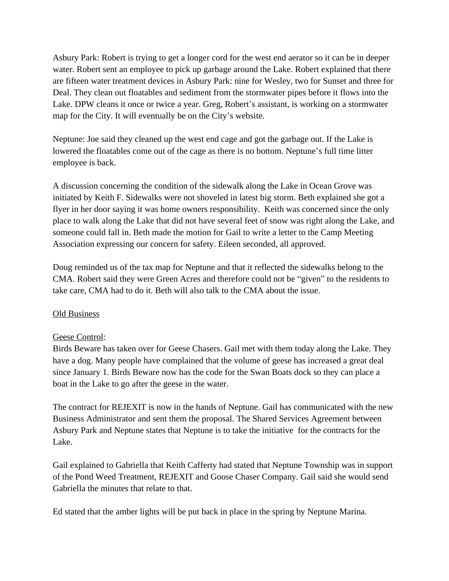Asbury Park: Robert is trying to get a longer cord for the west end aerator so it can be in deeper water. Robert sent an employee to pick up garbage around the Lake. Robert explained that there are fifteen water treatment devices in Asbury Park: nine for Wesley, two for Sunset and three for Deal. They clean out floatables and sediment from the stormwater pipes before it flows into the Lake. DPW cleans it once or twice a year. Greg, Robert's assistant, is working on a stormwater map for the City. It will eventually be on the City's website.

Neptune: Joe said they cleaned up the west end cage and got the garbage out. If the Lake is lowered the floatables come out of the cage as there is no bottom. Neptune's full time litter employee is back.

A discussion concerning the condition of the sidewalk along the Lake in Ocean Grove was initiated by Keith F. Sidewalks were not shoveled in latest big storm. Beth explained she got a flyer in her door saying it was home owners responsibility. Keith was concerned since the only place to walk along the Lake that did not have several feet of snow was right along the Lake, and someone could fall in. Beth made the motion for Gail to write a letter to the Camp Meeting Association expressing our concern for safety. Eileen seconded, all approved.

Doug reminded us of the tax map for Neptune and that it reflected the sidewalks belong to the CMA. Robert said they were Green Acres and therefore could not be "given" to the residents to take care, CMA had to do it. Beth will also talk to the CMA about the issue.

# Old Business

# Geese Control:

Birds Beware has taken over for Geese Chasers. Gail met with them today along the Lake. They have a dog. Many people have complained that the volume of geese has increased a great deal since January 1. Birds Beware now has the code for the Swan Boats dock so they can place a boat in the Lake to go after the geese in the water.

The contract for REJEXIT is now in the hands of Neptune. Gail has communicated with the new Business Administrator and sent them the proposal. The Shared Services Agreement between Asbury Park and Neptune states that Neptune is to take the initiative for the contracts for the Lake.

Gail explained to Gabriella that Keith Cafferty had stated that Neptune Township was in support of the Pond Weed Treatment, REJEXIT and Goose Chaser Company. Gail said she would send Gabriella the minutes that relate to that.

Ed stated that the amber lights will be put back in place in the spring by Neptune Marina.